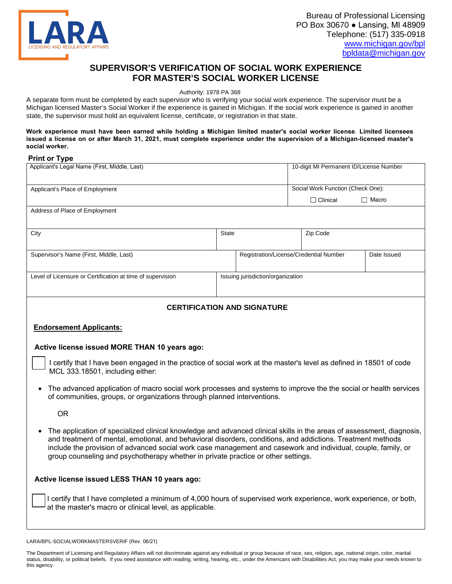

## **SUPERVISOR'S VERIFICATION OF SOCIAL WORK EXPERI[ENCE](mailto:bpldata@michigan.gov) FOR MASTER'S SOCIAL WORKER LICENSE**

Authority: 1978 PA 368

A separate form must be completed by each supervisor who is verifying your social work experience. The supervisor must be a Michigan licensed Master's Social Worker if the experience is gained in Michigan. If the social work experience is gained in another state, the supervisor must hold an equivalent license, certificate, or registration in that state.

## **Work experience must have been earned while holding a Michigan limited master's social worker license**. **Limited licensees issued a license on or after March 31, 2021, must complete experience under the supervision of a Michigan-licensed master's social worker.**

## **Print or Type**

| Applicant's Legal Name (First, Middle, Last)                                                                                                                                                                                                                                                                                                                                                                                               |                                   | 10-digit MI Permanent ID/License Number |                                        |              |  |
|--------------------------------------------------------------------------------------------------------------------------------------------------------------------------------------------------------------------------------------------------------------------------------------------------------------------------------------------------------------------------------------------------------------------------------------------|-----------------------------------|-----------------------------------------|----------------------------------------|--------------|--|
| Applicant's Place of Employment                                                                                                                                                                                                                                                                                                                                                                                                            |                                   |                                         | Social Work Function (Check One):      |              |  |
|                                                                                                                                                                                                                                                                                                                                                                                                                                            |                                   |                                         | $\Box$ Clinical                        | $\Box$ Macro |  |
| Address of Place of Employment                                                                                                                                                                                                                                                                                                                                                                                                             |                                   |                                         |                                        |              |  |
| City                                                                                                                                                                                                                                                                                                                                                                                                                                       | <b>State</b>                      |                                         | Zip Code                               |              |  |
| Supervisor's Name (First, Middle, Last)                                                                                                                                                                                                                                                                                                                                                                                                    |                                   |                                         | Registration/License/Credential Number | Date Issued  |  |
| Level of Licensure or Certification at time of supervision                                                                                                                                                                                                                                                                                                                                                                                 | Issuing jurisdiction/organization |                                         |                                        |              |  |
| <b>CERTIFICATION AND SIGNATURE</b>                                                                                                                                                                                                                                                                                                                                                                                                         |                                   |                                         |                                        |              |  |
| <b>Endorsement Applicants:</b>                                                                                                                                                                                                                                                                                                                                                                                                             |                                   |                                         |                                        |              |  |
| Active license issued MORE THAN 10 years ago:                                                                                                                                                                                                                                                                                                                                                                                              |                                   |                                         |                                        |              |  |
| I certify that I have been engaged in the practice of social work at the master's level as defined in 18501 of code<br>MCL 333.18501, including either:                                                                                                                                                                                                                                                                                    |                                   |                                         |                                        |              |  |
| The advanced application of macro social work processes and systems to improve the the social or health services<br>of communities, groups, or organizations through planned interventions.                                                                                                                                                                                                                                                |                                   |                                         |                                        |              |  |
| <b>OR</b>                                                                                                                                                                                                                                                                                                                                                                                                                                  |                                   |                                         |                                        |              |  |
| The application of specialized clinical knowledge and advanced clinical skills in the areas of assessment, diagnosis,<br>and treatment of mental, emotional, and behavioral disorders, conditions, and addictions. Treatment methods<br>include the provision of advanced social work case management and casework and individual, couple, family, or<br>group counseling and psychotherapy whether in private practice or other settings. |                                   |                                         |                                        |              |  |
| Active license issued LESS THAN 10 years ago:                                                                                                                                                                                                                                                                                                                                                                                              |                                   |                                         |                                        |              |  |
| I certify that I have completed a minimum of 4,000 hours of supervised work experience, work experience, or both,<br>at the master's macro or clinical level, as applicable.                                                                                                                                                                                                                                                               |                                   |                                         |                                        |              |  |

LARA/BPL-SOCIALWORKMASTERSVERIF (Rev. 06/21)

The Department of Licensing and Regulatory Affairs will not discriminate against any individual or group because of race, sex, religion, age, national origin, color, marital status, disability, or political beliefs. If you need assistance with reading, writing, hearing, etc., under the Americans with Disabilities Act, you may make your needs known to this agency.